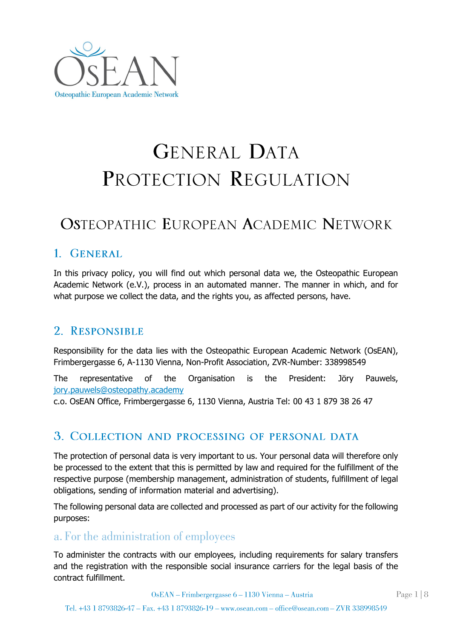

# GENERAL DATA PROTECTION REGULATION

# **OSTEOPATHIC EUROPEAN ACADEMIC NETWORK**

#### 1 GENERAL

In this privacy policy, you will find out which personal data we, the Osteopathic European Academic Network (e.V.), process in an automated manner. The manner in which, and for what purpose we collect the data, and the rights you, as affected persons, have.

#### 2. RESPONSIBLE

Responsibility for the data lies with the Osteopathic European Academic Network (OsEAN), Frimbergergasse 6, A-1130 Vienna, Non-Profit Association, ZVR-Number: 338998549

The representative of the Organisation is the President: Jöry Pauwels, [jory.pauwels@osteopathy.academy](mailto:jory.pauwels@osteopathy.academy)

c.o. OsEAN Office, Frimbergergasse 6, 1130 Vienna, Austria Tel: 00 43 1 879 38 26 47

#### 3. COLLECTION AND PROCESSING OF PERSONAL DATA

The protection of personal data is very important to us. Your personal data will therefore only be processed to the extent that this is permitted by law and required for the fulfillment of the respective purpose (membership management, administration of students, fulfillment of legal obligations, sending of information material and advertising).

The following personal data are collected and processed as part of our activity for the following purposes:

#### a. For the administration of employees

To administer the contracts with our employees, including requirements for salary transfers and the registration with the responsible social insurance carriers for the legal basis of the contract fulfillment.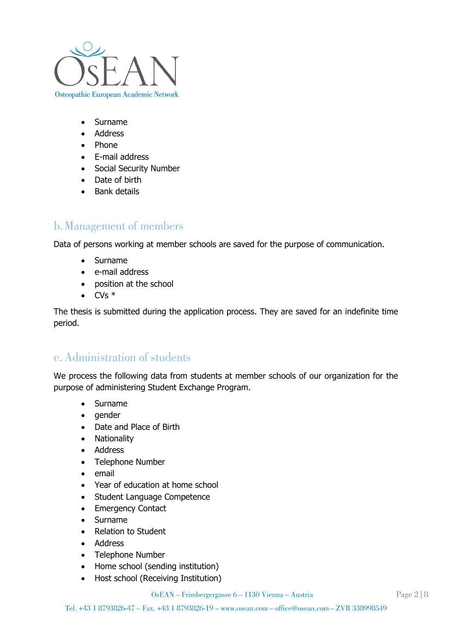

- Surname
- Address
- Phone
- E-mail address
- Social Security Number
- Date of birth
- Bank details

# b. Management of members

Data of persons working at member schools are saved for the purpose of communication.

- Surname
- e-mail address
- position at the school
- $\bullet$  CVs  $*$

The thesis is submitted during the application process. They are saved for an indefinite time period.

#### c. Administration of students

We process the following data from students at member schools of our organization for the purpose of administering Student Exchange Program.

- Surname
- gender
- Date and Place of Birth
- Nationality
- Address
- Telephone Number
- email
- Year of education at home school
- Student Language Competence
- Emergency Contact
- Surname
- Relation to Student
- Address
- Telephone Number
- Home school (sending institution)
- Host school (Receiving Institution)

OsEAN – Frimbergergasse 6 – 1130 Vienna – Austria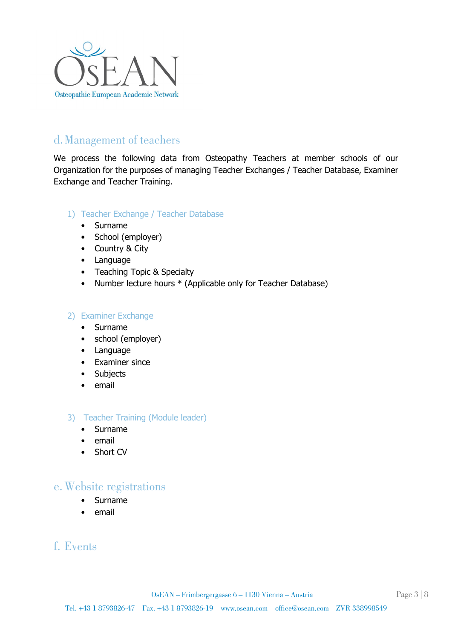

# d. Management of teachers

We process the following data from Osteopathy Teachers at member schools of our Organization for the purposes of managing Teacher Exchanges / Teacher Database, Examiner Exchange and Teacher Training.

#### 1) Teacher Exchange / Teacher Database

- Surname
- School (employer)
- Country & City
- Language
- Teaching Topic & Specialty
- Number lecture hours \* (Applicable only for Teacher Database)

#### 2) Examiner Exchange

- Surname
- school (employer)
- Language
- Examiner since
- Subjects
- email
- 3) Teacher Training (Module leader)
	- Surname
	- email
	- Short CV

#### e. Website registrations

- Surname
- email

#### f. Events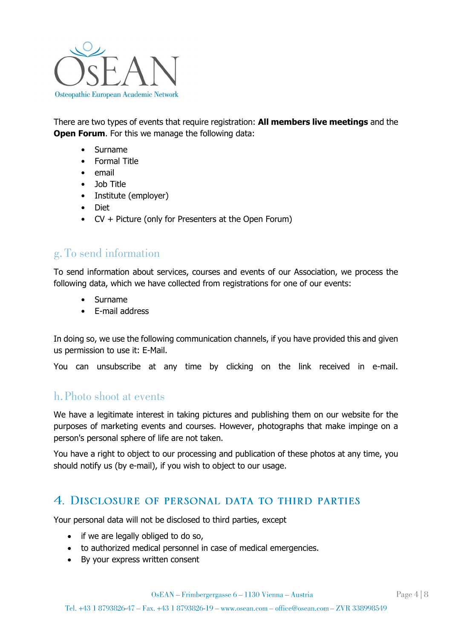

There are two types of events that require registration: **All members live meetings** and the **Open Forum.** For this we manage the following data:

- Surname
- Formal Title
- email
- Job Title
- Institute (employer)
- Diet
- CV + Picture (only for Presenters at the Open Forum)

#### g. To send information

To send information about services, courses and events of our Association, we process the following data, which we have collected from registrations for one of our events:

- Surname
- E-mail address

In doing so, we use the following communication channels, if you have provided this and given us permission to use it: E-Mail.

You can unsubscribe at any time by clicking on the link received in e-mail.

## h. Photo shoot at events

We have a legitimate interest in taking pictures and publishing them on our website for the purposes of marketing events and courses. However, photographs that make impinge on a person's personal sphere of life are not taken.

You have a right to object to our processing and publication of these photos at any time, you should notify us (by e-mail), if you wish to object to our usage.

#### 4. DISCLOSURE OF PERSONAL DATA TO THIRD PARTIES

Your personal data will not be disclosed to third parties, except

- if we are legally obliged to do so,
- to authorized medical personnel in case of medical emergencies.
- By your express written consent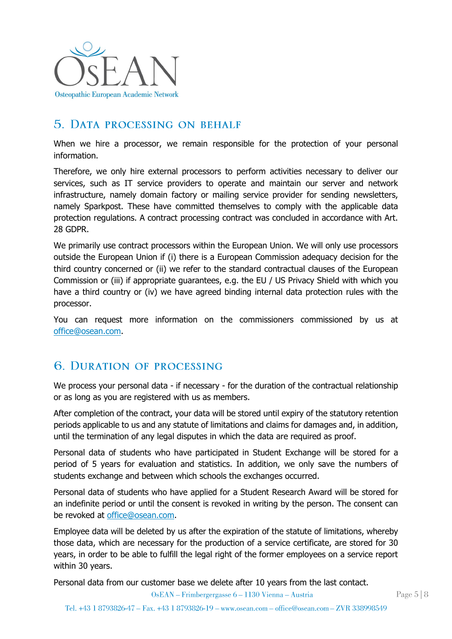

# 5. DATA PROCESSING ON BEHALF

When we hire a processor, we remain responsible for the protection of your personal information.

Therefore, we only hire external processors to perform activities necessary to deliver our services, such as IT service providers to operate and maintain our server and network infrastructure, namely domain factory or mailing service provider for sending newsletters, namely Sparkpost. These have committed themselves to comply with the applicable data protection regulations. A contract processing contract was concluded in accordance with Art. 28 GDPR.

We primarily use contract processors within the European Union. We will only use processors outside the European Union if (i) there is a European Commission adequacy decision for the third country concerned or (ii) we refer to the standard contractual clauses of the European Commission or (iii) if appropriate guarantees, e.g. the EU / US Privacy Shield with which you have a third country or (iv) we have agreed binding internal data protection rules with the processor.

You can request more information on the commissioners commissioned by us at [office@osean.com.](mailto:office@osean.com)

## **6. DURATION OF PROCESSING**

We process your personal data - if necessary - for the duration of the contractual relationship or as long as you are registered with us as members.

After completion of the contract, your data will be stored until expiry of the statutory retention periods applicable to us and any statute of limitations and claims for damages and, in addition, until the termination of any legal disputes in which the data are required as proof.

Personal data of students who have participated in Student Exchange will be stored for a period of 5 years for evaluation and statistics. In addition, we only save the numbers of students exchange and between which schools the exchanges occurred.

Personal data of students who have applied for a Student Research Award will be stored for an indefinite period or until the consent is revoked in writing by the person. The consent can be revoked at [office@osean.com.](mailto:office@osean.com)

Employee data will be deleted by us after the expiration of the statute of limitations, whereby those data, which are necessary for the production of a service certificate, are stored for 30 years, in order to be able to fulfill the legal right of the former employees on a service report within 30 years.

Personal data from our customer base we delete after 10 years from the last contact.

OsEAN – Frimbergergasse 6 – 1130 Vienna – Austria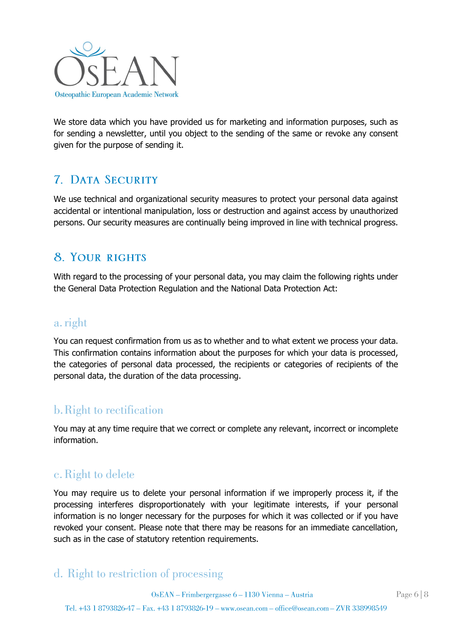

We store data which you have provided us for marketing and information purposes, such as for sending a newsletter, until you object to the sending of the same or revoke any consent given for the purpose of sending it.

# **7 DATA SECURITY**

We use technical and organizational security measures to protect your personal data against accidental or intentional manipulation, loss or destruction and against access by unauthorized persons. Our security measures are continually being improved in line with technical progress.

# **8. YOUR RIGHTS**

With regard to the processing of your personal data, you may claim the following rights under the General Data Protection Regulation and the National Data Protection Act:

#### a. right

You can request confirmation from us as to whether and to what extent we process your data. This confirmation contains information about the purposes for which your data is processed, the categories of personal data processed, the recipients or categories of recipients of the personal data, the duration of the data processing.

# **b.** Right to rectification

You may at any time require that we correct or complete any relevant, incorrect or incomplete information.

# c. Right to delete

You may require us to delete your personal information if we improperly process it, if the processing interferes disproportionately with your legitimate interests, if your personal information is no longer necessary for the purposes for which it was collected or if you have revoked your consent. Please note that there may be reasons for an immediate cancellation, such as in the case of statutory retention requirements.

# d. Right to restriction of processing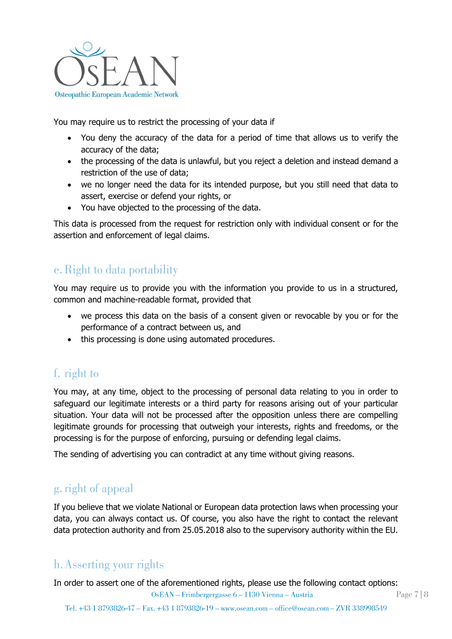

You may require us to restrict the processing of your data if

- You deny the accuracy of the data for a period of time that allows us to verify the accuracy of the data;
- the processing of the data is unlawful, but you reject a deletion and instead demand a restriction of the use of data;
- we no longer need the data for its intended purpose, but you still need that data to assert, exercise or defend your rights, or
- You have objected to the processing of the data.

This data is processed from the request for restriction only with individual consent or for the assertion and enforcement of legal claims.

# e. Right to data portability

You may require us to provide you with the information you provide to us in a structured, common and machine-readable format, provided that

- we process this data on the basis of a consent given or revocable by you or for the performance of a contract between us, and
- this processing is done using automated procedures.

# f. right to

You may, at any time, object to the processing of personal data relating to you in order to safeguard our legitimate interests or a third party for reasons arising out of your particular situation. Your data will not be processed after the opposition unless there are compelling legitimate grounds for processing that outweigh your interests, rights and freedoms, or the processing is for the purpose of enforcing, pursuing or defending legal claims.

The sending of advertising you can contradict at any time without giving reasons.

# g. right of appeal

If you believe that we violate National or European data protection laws when processing your data, you can always contact us. Of course, you also have the right to contact the relevant data protection authority and from 25.05.2018 also to the supervisory authority within the EU.

# h. Asserting your rights

In order to assert one of the aforementioned rights, please use the following contact options:

OsEAN – Frimbergergasse 6 – 1130 Vienna – Austria